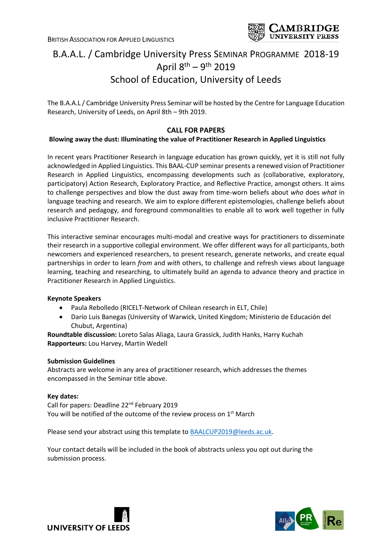

# B.A.A.L. / Cambridge University Press SEMINAR PROGRAMME 2018-19 April 8<sup>th</sup> – 9<sup>th</sup> 2019 School of Education, University of Leeds

The B.A.A.L / Cambridge University Press Seminar will be hosted by the Centre for Language Education Research, University of Leeds, on April 8th – 9th 2019.

## **CALL FOR PAPERS**

### **Blowing away the dust: Illuminating the value of Practitioner Research in Applied Linguistics**

In recent years Practitioner Research in language education has grown quickly, yet it is still not fully acknowledged in Applied Linguistics. This BAAL-CUP seminar presents a renewed vision of Practitioner Research in Applied Linguistics, encompassing developments such as (collaborative, exploratory, participatory) Action Research, Exploratory Practice, and Reflective Practice, amongst others. It aims to challenge perspectives and blow the dust away from time-worn beliefs about *who* does *what* in language teaching and research. We aim to explore different epistemologies, challenge beliefs about research and pedagogy, and foreground commonalities to enable all to work well together in fully inclusive Practitioner Research.

This interactive seminar encourages multi-modal and creative ways for practitioners to disseminate their research in a supportive collegial environment. We offer different ways for all participants, both newcomers and experienced researchers, to present research, generate networks, and create equal partnerships in order to learn *from* and *with* others, to challenge and refresh views about language learning, teaching and researching, to ultimately build an agenda to advance theory and practice in Practitioner Research in Applied Linguistics.

### **Keynote Speakers**

- Paula Rebolledo (RICELT-Network of Chilean research in ELT, Chile)
- Darío Luis Banegas (University of Warwick, United Kingdom; Ministerio de Educación del Chubut, Argentina)

**Roundtable discussion:** Loreto Salas Aliaga, Laura Grassick, Judith Hanks, Harry Kuchah **Rapporteurs:** Lou Harvey, Martin Wedell

#### **Submission Guidelines**

Abstracts are welcome in any area of practitioner research, which addresses the themes encompassed in the Seminar title above.

#### **Key dates:**

Call for papers: Deadline 22nd February 2019 You will be notified of the outcome of the review process on 1<sup>st</sup> March

Please send your abstract using this template to [BAALCUP2019@leeds.ac.uk.](mailto:BAALCUP2019@leeds.ac.uk)

Your contact details will be included in the book of abstracts unless you opt out during the submission process.